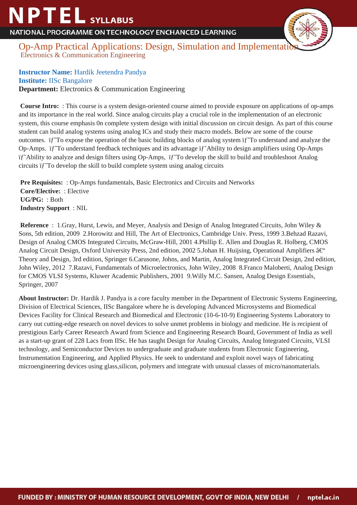## **NPTEL** SYLLABUS

NATIONAL PROGRAMME ON TECHNOLOGY ENCHANCED LEARNING



Op-Amp Practical Applications: Design, Simulation and Implementation Electronics & Communication Engineering

**Instructor Name:** Hardik Jeetendra Pandya **Institute:** IISc Bangalore **Department:** Electronics & Communication Engineering

 **Course Intro:** : This course is a system design-oriented course aimed to provide exposure on applications of op-amps and its importance in the real world. Since analog circuits play a crucial role in the implementation of an electronic system, this course emphasis 0n complete system design with initial discussion on circuit design. As part of this course student can build analog systems using analog ICs and study their macro models. Below are some of the course outcomes. If To expose the operation of the basic building blocks of analog system If To understand and analyze the Op-Amps. if To understand feedback techniques and its advantage if Ability to design amplifiers using Op-Amps if<sup>\*</sup> Ability to analyze and design filters using Op-Amps, if<sup>\*</sup> To develop the skill to build and troubleshoot Analog circuits  $if$  To develop the skill to build complete system using analog circuits

 **Pre Requisites:** : Op-Amps fundamentals, Basic Electronics and Circuits and Networks  **Core/Elective:** : Elective  **UG/PG:** : Both  **Industry Support** : NIL

**Reference** : 1. Gray, Hurst, Lewis, and Meyer, Analysis and Design of Analog Integrated Circuits, John Wiley & Sons, 5th edition, 2009 2. Horowitz and Hill, The Art of Electronics, Cambridge Univ. Press, 1999 3. Behzad Razavi, Design of Analog CMOS Integrated Circuits, McGraw-Hill, 2001 4. Phillip E. Allen and Douglas R. Holberg, CMOS Analog Circuit Design, Oxford University Press, 2nd edition, 2002 5. Johan H. Huijsing, Operational Amplifiers  $\hat{a} \in \mathcal{C}$ Theory and Design, 3rd edition, Springer 6. Carusone, Johns, and Martin, Analog Integrated Circuit Design, 2nd edition, John Wiley, 2012 7. Razavi, Fundamentals of Microelectronics, John Wiley, 2008 8. Franco Maloberti, Analog Design for CMOS VLSI Systems, Kluwer Academic Publishers, 2001 9. Willy M.C. Sansen, Analog Design Essentials, Springer, 2007

**About Instructor:** Dr. Hardik J. Pandya is a core faculty member in the Department of Electronic Systems Engineering, Division of Electrical Sciences, IISc Bangalore where he is developing Advanced Microsystems and Biomedical Devices Facility for Clinical Research and Biomedical and Electronic (10-6-10-9) Engineering Systems Laboratory to carry out cutting-edge research on novel devices to solve unmet problems in biology and medicine. He is recipient of prestigious Early Career Research Award from Science and Engineering Research Board, Government of India as well as a start-up grant of 228 Lacs from IISc. He has taught Design for Analog Circuits, Analog Integrated Circuits, VLSI technology, and Semiconductor Devices to undergraduate and graduate students from Electronic Engineering, Instrumentation Engineering, and Applied Physics. He seek to understand and exploit novel ways of fabricating microengineering devices using glass,silicon, polymers and integrate with unusual classes of micro/nanomaterials.